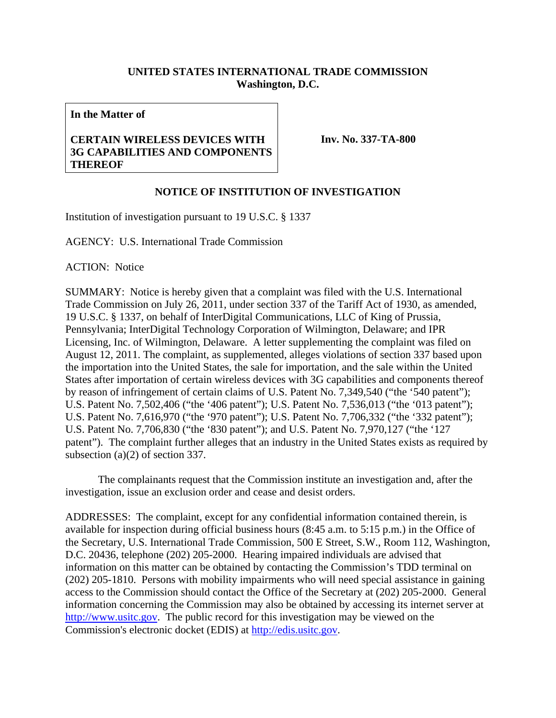## **UNITED STATES INTERNATIONAL TRADE COMMISSION Washington, D.C.**

**In the Matter of** 

## **CERTAIN WIRELESS DEVICES WITH 3G CAPABILITIES AND COMPONENTS THEREOF**

**Inv. No. 337-TA-800**

## **NOTICE OF INSTITUTION OF INVESTIGATION**

Institution of investigation pursuant to 19 U.S.C. § 1337

AGENCY: U.S. International Trade Commission

ACTION: Notice

SUMMARY: Notice is hereby given that a complaint was filed with the U.S. International Trade Commission on July 26, 2011, under section 337 of the Tariff Act of 1930, as amended, 19 U.S.C. § 1337, on behalf of InterDigital Communications, LLC of King of Prussia, Pennsylvania; InterDigital Technology Corporation of Wilmington, Delaware; and IPR Licensing, Inc. of Wilmington, Delaware. A letter supplementing the complaint was filed on August 12, 2011. The complaint, as supplemented, alleges violations of section 337 based upon the importation into the United States, the sale for importation, and the sale within the United States after importation of certain wireless devices with 3G capabilities and components thereof by reason of infringement of certain claims of U.S. Patent No. 7,349,540 ("the '540 patent"); U.S. Patent No. 7,502,406 ("the '406 patent"); U.S. Patent No. 7,536,013 ("the '013 patent"); U.S. Patent No. 7,616,970 ("the '970 patent"); U.S. Patent No. 7,706,332 ("the '332 patent"); U.S. Patent No. 7,706,830 ("the '830 patent"); and U.S. Patent No. 7,970,127 ("the '127 patent"). The complaint further alleges that an industry in the United States exists as required by subsection (a)(2) of section 337.

 The complainants request that the Commission institute an investigation and, after the investigation, issue an exclusion order and cease and desist orders.

ADDRESSES: The complaint, except for any confidential information contained therein, is available for inspection during official business hours (8:45 a.m. to 5:15 p.m.) in the Office of the Secretary, U.S. International Trade Commission, 500 E Street, S.W., Room 112, Washington, D.C. 20436, telephone (202) 205-2000. Hearing impaired individuals are advised that information on this matter can be obtained by contacting the Commission's TDD terminal on (202) 205-1810. Persons with mobility impairments who will need special assistance in gaining access to the Commission should contact the Office of the Secretary at (202) 205-2000. General information concerning the Commission may also be obtained by accessing its internet server at http://www.usitc.gov. The public record for this investigation may be viewed on the Commission's electronic docket (EDIS) at http://edis.usitc.gov.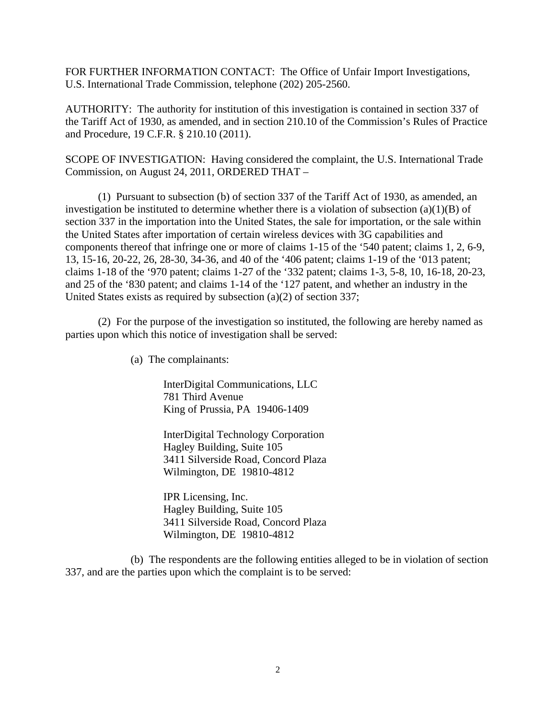FOR FURTHER INFORMATION CONTACT: The Office of Unfair Import Investigations, U.S. International Trade Commission, telephone (202) 205-2560.

AUTHORITY: The authority for institution of this investigation is contained in section 337 of the Tariff Act of 1930, as amended, and in section 210.10 of the Commission's Rules of Practice and Procedure, 19 C.F.R. § 210.10 (2011).

SCOPE OF INVESTIGATION: Having considered the complaint, the U.S. International Trade Commission, on August 24, 2011, ORDERED THAT –

 (1) Pursuant to subsection (b) of section 337 of the Tariff Act of 1930, as amended, an investigation be instituted to determine whether there is a violation of subsection  $(a)(1)(B)$  of section 337 in the importation into the United States, the sale for importation, or the sale within the United States after importation of certain wireless devices with 3G capabilities and components thereof that infringe one or more of claims 1-15 of the '540 patent; claims 1, 2, 6-9, 13, 15-16, 20-22, 26, 28-30, 34-36, and 40 of the '406 patent; claims 1-19 of the '013 patent; claims 1-18 of the '970 patent; claims 1-27 of the '332 patent; claims 1-3, 5-8, 10, 16-18, 20-23, and 25 of the '830 patent; and claims 1-14 of the '127 patent, and whether an industry in the United States exists as required by subsection (a)(2) of section 337;

 (2) For the purpose of the investigation so instituted, the following are hereby named as parties upon which this notice of investigation shall be served:

(a) The complainants:

 InterDigital Communications, LLC 781 Third Avenue King of Prussia, PA 19406-1409

 InterDigital Technology Corporation Hagley Building, Suite 105 3411 Silverside Road, Concord Plaza Wilmington, DE 19810-4812

 IPR Licensing, Inc. Hagley Building, Suite 105 3411 Silverside Road, Concord Plaza Wilmington, DE 19810-4812

 (b) The respondents are the following entities alleged to be in violation of section 337, and are the parties upon which the complaint is to be served: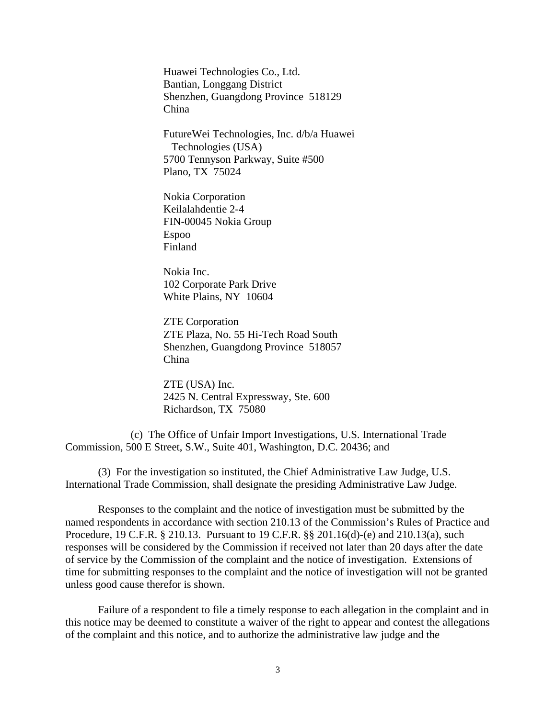Huawei Technologies Co., Ltd. Bantian, Longgang District Shenzhen, Guangdong Province 518129 China

 FutureWei Technologies, Inc. d/b/a Huawei Technologies (USA) 5700 Tennyson Parkway, Suite #500 Plano, TX 75024

 Nokia Corporation Keilalahdentie 2-4 FIN-00045 Nokia Group Espoo Finland

 Nokia Inc. 102 Corporate Park Drive White Plains, NY 10604

 ZTE Corporation ZTE Plaza, No. 55 Hi-Tech Road South Shenzhen, Guangdong Province 518057 China

 ZTE (USA) Inc. 2425 N. Central Expressway, Ste. 600 Richardson, TX 75080

 (c) The Office of Unfair Import Investigations, U.S. International Trade Commission, 500 E Street, S.W., Suite 401, Washington, D.C. 20436; and

 (3) For the investigation so instituted, the Chief Administrative Law Judge, U.S. International Trade Commission, shall designate the presiding Administrative Law Judge.

 Responses to the complaint and the notice of investigation must be submitted by the named respondents in accordance with section 210.13 of the Commission's Rules of Practice and Procedure, 19 C.F.R. § 210.13. Pursuant to 19 C.F.R. §§ 201.16(d)-(e) and 210.13(a), such responses will be considered by the Commission if received not later than 20 days after the date of service by the Commission of the complaint and the notice of investigation. Extensions of time for submitting responses to the complaint and the notice of investigation will not be granted unless good cause therefor is shown.

 Failure of a respondent to file a timely response to each allegation in the complaint and in this notice may be deemed to constitute a waiver of the right to appear and contest the allegations of the complaint and this notice, and to authorize the administrative law judge and the